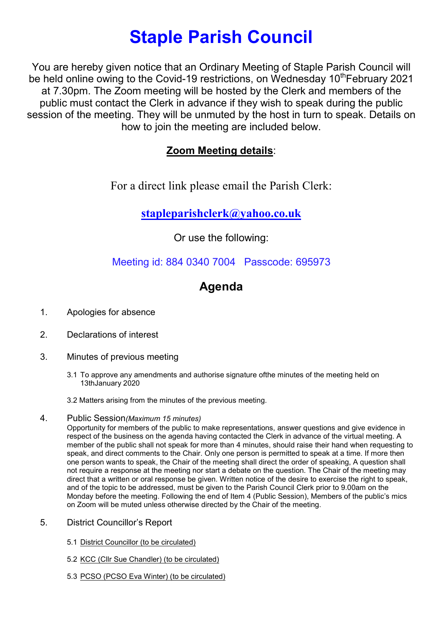# Staple Parish Council

You are hereby given notice that an Ordinary Meeting of Staple Parish Council will be held online owing to the Covid-19 restrictions, on Wednesday 10<sup>th</sup>February 2021 at 7.30pm. The Zoom meeting will be hosted by the Clerk and members of the public must contact the Clerk in advance if they wish to speak during the public session of the meeting. They will be unmuted by the host in turn to speak. Details on how to join the meeting are included below.

### Zoom Meeting details:

For a direct link please email the Parish Clerk:

## stapleparishclerk@yahoo.co.uk

Or use the following:

### Meeting id: 884 0340 7004 Passcode: 695973

# Agenda

- 1. Apologies for absence
- 2. Declarations of interest
- 3. Minutes of previous meeting
	- 3.1 To approve any amendments and authorise signature ofthe minutes of the meeting held on 13thJanuary 2020
	- 3.2 Matters arising from the minutes of the previous meeting.

#### 4. Public Session(Maximum 15 minutes)

Opportunity for members of the public to make representations, answer questions and give evidence in respect of the business on the agenda having contacted the Clerk in advance of the virtual meeting. A member of the public shall not speak for more than 4 minutes, should raise their hand when requesting to speak, and direct comments to the Chair. Only one person is permitted to speak at a time. If more then one person wants to speak, the Chair of the meeting shall direct the order of speaking, A question shall not require a response at the meeting nor start a debate on the question. The Chair of the meeting may direct that a written or oral response be given. Written notice of the desire to exercise the right to speak, and of the topic to be addressed, must be given to the Parish Council Clerk prior to 9.00am on the Monday before the meeting. Following the end of Item 4 (Public Session), Members of the public's mics on Zoom will be muted unless otherwise directed by the Chair of the meeting.

- 5. District Councillor's Report
	- 5.1 District Councillor (to be circulated)
	- 5.2 KCC (Cllr Sue Chandler) (to be circulated)
	- 5.3 PCSO (PCSO Eva Winter) (to be circulated)